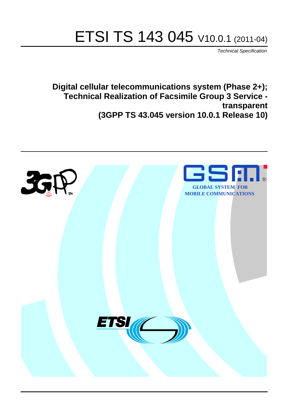# ETSI TS 143 045 V10.0.1 (2011-04)

*Technical Specification*

**Digital cellular telecommunications system (Phase 2+); Technical Realization of Facsimile Group 3 Service transparent (3GPP TS 43.045 version 10.0.1 Release 10)**

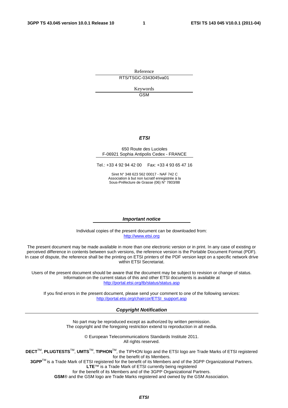Reference RTS/TSGC-0343045va01

> Keywords GSM

#### *ETSI*

#### 650 Route des Lucioles F-06921 Sophia Antipolis Cedex - FRANCE

Tel.: +33 4 92 94 42 00 Fax: +33 4 93 65 47 16

Siret N° 348 623 562 00017 - NAF 742 C Association à but non lucratif enregistrée à la Sous-Préfecture de Grasse (06) N° 7803/88

#### *Important notice*

Individual copies of the present document can be downloaded from: [http://www.etsi.org](http://www.etsi.org/)

The present document may be made available in more than one electronic version or in print. In any case of existing or perceived difference in contents between such versions, the reference version is the Portable Document Format (PDF). In case of dispute, the reference shall be the printing on ETSI printers of the PDF version kept on a specific network drive within ETSI Secretariat.

Users of the present document should be aware that the document may be subject to revision or change of status. Information on the current status of this and other ETSI documents is available at <http://portal.etsi.org/tb/status/status.asp>

If you find errors in the present document, please send your comment to one of the following services: [http://portal.etsi.org/chaircor/ETSI\\_support.asp](http://portal.etsi.org/chaircor/ETSI_support.asp)

#### *Copyright Notification*

No part may be reproduced except as authorized by written permission. The copyright and the foregoing restriction extend to reproduction in all media.

> © European Telecommunications Standards Institute 2011. All rights reserved.

**DECT**TM, **PLUGTESTS**TM, **UMTS**TM, **TIPHON**TM, the TIPHON logo and the ETSI logo are Trade Marks of ETSI registered for the benefit of its Members.

**3GPP**TM is a Trade Mark of ETSI registered for the benefit of its Members and of the 3GPP Organizational Partners. **LTE**™ is a Trade Mark of ETSI currently being registered

for the benefit of its Members and of the 3GPP Organizational Partners.

**GSM**® and the GSM logo are Trade Marks registered and owned by the GSM Association.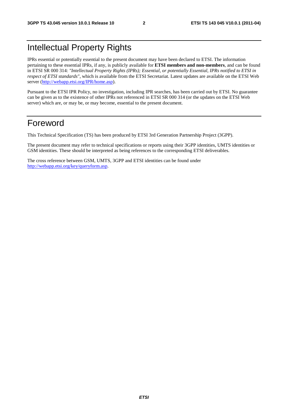# Intellectual Property Rights

IPRs essential or potentially essential to the present document may have been declared to ETSI. The information pertaining to these essential IPRs, if any, is publicly available for **ETSI members and non-members**, and can be found in ETSI SR 000 314: *"Intellectual Property Rights (IPRs); Essential, or potentially Essential, IPRs notified to ETSI in respect of ETSI standards"*, which is available from the ETSI Secretariat. Latest updates are available on the ETSI Web server [\(http://webapp.etsi.org/IPR/home.asp](http://webapp.etsi.org/IPR/home.asp)).

Pursuant to the ETSI IPR Policy, no investigation, including IPR searches, has been carried out by ETSI. No guarantee can be given as to the existence of other IPRs not referenced in ETSI SR 000 314 (or the updates on the ETSI Web server) which are, or may be, or may become, essential to the present document.

### Foreword

This Technical Specification (TS) has been produced by ETSI 3rd Generation Partnership Project (3GPP).

The present document may refer to technical specifications or reports using their 3GPP identities, UMTS identities or GSM identities. These should be interpreted as being references to the corresponding ETSI deliverables.

The cross reference between GSM, UMTS, 3GPP and ETSI identities can be found under <http://webapp.etsi.org/key/queryform.asp>.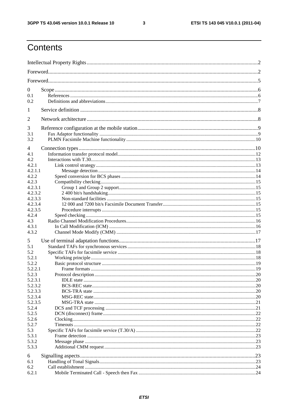$\mathbf{3}$ 

# Contents

| $\boldsymbol{0}$ |  |
|------------------|--|
| 0.1              |  |
| 0.2              |  |
| 1                |  |
| $\overline{2}$   |  |
| 3                |  |
| 3.1              |  |
| 3.2              |  |
|                  |  |
| 4                |  |
| 4.1<br>4.2       |  |
| 4.2.1            |  |
| 4.2.1.1          |  |
| 4.2.2            |  |
| 4.2.3            |  |
| 4.2.3.1          |  |
| 4.2.3.2          |  |
| 4.2.3.3          |  |
| 4.2.3.4          |  |
| 4.2.3.5          |  |
| 4.2.4            |  |
| 4.3              |  |
| 4.3.1            |  |
| 4.3.2            |  |
| 5                |  |
| 5.1              |  |
| 5.2              |  |
| 5.2.1            |  |
| 5.2.2            |  |
| 5.2.2.1          |  |
| 5.2.3            |  |
| 5.2.3.1          |  |
| 5.2.3.2          |  |
| 5.2.3.3          |  |
| 5.2.3.4          |  |
| 5.2.3.5          |  |
| 5.2.4            |  |
| 5.2.5            |  |
| 5.2.6            |  |
| 5.2.7            |  |
| 5.3<br>5.3.1     |  |
| 5.3.2            |  |
| 5.3.3            |  |
|                  |  |
| 6                |  |
| 6.1              |  |
| 6.2              |  |
| 6.2.1            |  |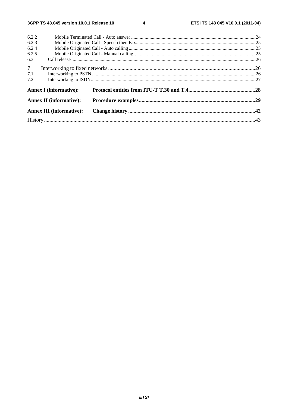$\overline{\mathbf{4}}$ 

| 6.2.2          |                                 |  |  |  |  |  |
|----------------|---------------------------------|--|--|--|--|--|
| 6.2.3          |                                 |  |  |  |  |  |
| 6.2.4          |                                 |  |  |  |  |  |
| 6.2.5          |                                 |  |  |  |  |  |
| 6.3            |                                 |  |  |  |  |  |
| 7 <sup>7</sup> |                                 |  |  |  |  |  |
| 7.1            |                                 |  |  |  |  |  |
| 7.2            |                                 |  |  |  |  |  |
|                | <b>Annex I</b> (informative):   |  |  |  |  |  |
|                | <b>Annex II (informative):</b>  |  |  |  |  |  |
|                | <b>Annex III (informative):</b> |  |  |  |  |  |
|                |                                 |  |  |  |  |  |
|                |                                 |  |  |  |  |  |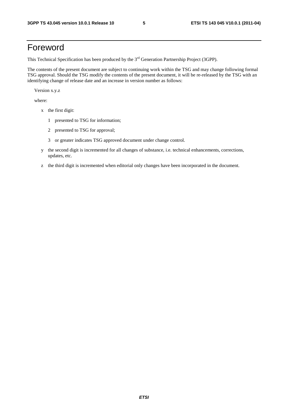### Foreword

This Technical Specification has been produced by the 3<sup>rd</sup> Generation Partnership Project (3GPP).

The contents of the present document are subject to continuing work within the TSG and may change following formal TSG approval. Should the TSG modify the contents of the present document, it will be re-released by the TSG with an identifying change of release date and an increase in version number as follows:

Version x.y.z

where:

- x the first digit:
	- 1 presented to TSG for information;
	- 2 presented to TSG for approval;
	- 3 or greater indicates TSG approved document under change control.
- y the second digit is incremented for all changes of substance, i.e. technical enhancements, corrections, updates, etc.
- z the third digit is incremented when editorial only changes have been incorporated in the document.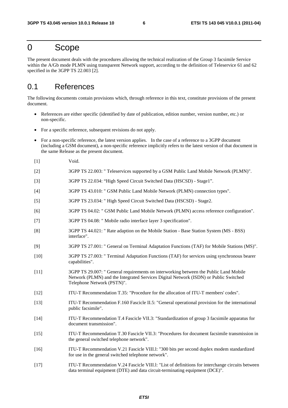### 0 Scope

The present document deals with the procedures allowing the technical realization of the Group 3 facsimile Service within the A/Gb mode PLMN using transparent Network support, according to the definition of Teleservice 61 and 62 specified in the 3GPP TS 22.003 [2].

### 0.1 References

The following documents contain provisions which, through reference in this text, constitute provisions of the present document.

- References are either specific (identified by date of publication, edition number, version number, etc.) or non-specific.
- For a specific reference, subsequent revisions do not apply.
- For a non-specific reference, the latest version applies. In the case of a reference to a 3GPP document (including a GSM document), a non-specific reference implicitly refers to the latest version of that document in the same Release as the present document.
- [1] Void.
- [2] 3GPP TS 22.003: " Teleservices supported by a GSM Public Land Mobile Network (PLMN)".
- [3] 3GPP TS 22.034: "High Speed Circuit Switched Data (HSCSD) Stage1".
- [4] 3GPP TS 43.010: " GSM Public Land Mobile Network (PLMN) connection types".
- [5] 3GPP TS 23.034: " High Speed Circuit Switched Data (HSCSD) Stage2.
- [6] 3GPP TS 04.02: " GSM Public Land Mobile Network (PLMN) access reference configuration".
- [7] 3GPP TS 04.08: " Mobile radio interface layer 3 specification".
- [8] 3GPP TS 44.021: " Rate adaption on the Mobile Station Base Station System (MS BSS) interface".
- [9] 3GPP TS 27.001: " General on Terminal Adaptation Functions (TAF) for Mobile Stations (MS)".
- [10] 3GPP TS 27.003: " Terminal Adaptation Functions (TAF) for services using synchronous bearer capabilities".
- [11] 3GPP TS 29.007: " General requirements on interworking between the Public Land Mobile Network (PLMN) and the Integrated Services Digital Network (ISDN) or Public Switched Telephone Network (PSTN)".
- [12] ITU-T Recommendation T.35: "Procedure for the allocation of ITU-T members' codes".
- [13] ITU-T Recommendation F.160 Fascicle II.5: "General operational provision for the international public facsimile".
- [14] ITU-T Recommendation T.4 Fascicle VII.3: "Standardization of group 3 facsimile apparatus for document transmission".
- [15] ITU-T Recommendation T.30 Fascicle VII.3: "Procedures for document facsimile transmission in the general switched telephone network".
- [16] ITU-T Recommendation V.21 Fascicle VIII.l: "300 bits per second duplex modem standardized for use in the general switched telephone network".
- [17] ITU-T Recommendation V.24 Fascicle VIII.l: "List of definitions for interchange circuits between data terminal equipment (DTE) and data circuit-terminating equipment (DCE)".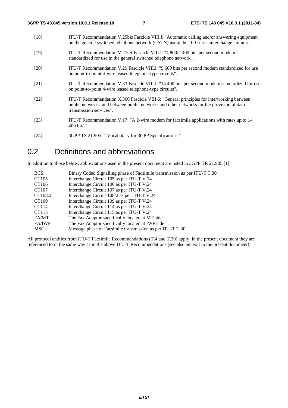| $[18]$ | ITU-T Recommendation V.25bis Fascicle VIII.1: "Automatic calling and/or answering equipment<br>on the general switched telephone network (GSTN) using the 100-series interchange circuits".                      |
|--------|------------------------------------------------------------------------------------------------------------------------------------------------------------------------------------------------------------------|
| $[19]$ | ITU-T Recommendation V.27ter Fascicle VIII.1: "4 800/2 400 bits per second modem<br>standardized for use in the general switched telephone network".                                                             |
| [20]   | ITU-T Recommendation V.29 Fascicle VIII.1: "9 600 bits per second modem standardized for use<br>on point-to-point 4-wire leased telephone-type circuits".                                                        |
| [21]   | ITU-T Recommendation V.33 Fascicle VIII.1: "14 400 bits per second modem standardized for use<br>on point-to-point 4-wire leased telephone-type circuits".                                                       |
| [22]   | ITU-T Recommendation X.300 Fascicle VIII.6: "General principles for interworking between<br>public networks, and between public networks and other networks for the provision of data<br>transmission services". |
| $[23]$ | ITU-T Recommendation V.17: "A 2-wire modem for facsimile applications with rates up to 14<br>$400 \text{ bit/s}$ ".                                                                                              |
|        |                                                                                                                                                                                                                  |

[24] 3GPP TS 21.905: " Vocabulary for 3GPP Specifications "

### 0.2 Definitions and abbreviations

In addition to those below, abbreviations used in the present document are listed in 3GPP TR 21.905 [1].

| <b>BCS</b>    | Binary Coded Signalling phase of Facsimile transmission as per ITU-T T.30 |
|---------------|---------------------------------------------------------------------------|
| CT105         | Interchange Circuit 105 as per ITU-T V.24                                 |
| CT106         | Interchange Circuit 106 as per ITU-T V.24                                 |
| CT107         | Interchange Circuit 107 as per ITU-T V.24                                 |
| CT108.2       | Interchange Circuit 108/2 as per ITU-T V.24                               |
| CT109         | Interchange Circuit 109 as per ITU-T V.24                                 |
| CT114         | Interchange Circuit 114 as per ITU-T V.24                                 |
| CT115         | Interchange Circuit 115 as per ITU-T V.24                                 |
| FA/MT         | The Fax Adaptor specifically located at MT side                           |
| <b>FA/IWF</b> | The Fax Adaptor specifically located at IWF side                          |
| MSG           | Message phase of Facsimile transmission as per ITU-T T.30                 |

All protocol entities from ITU-T Facsimile Recommendations (T.4 and T.30) apply; in the present document they are referenced to in the same way as in the above ITU-T Recommendations (see also annex I to the present document).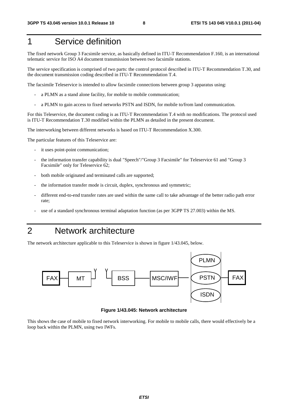# 1 Service definition

The fixed network Group 3 Facsimile service, as basically defined in ITU-T Recommendation F.160, is an international telematic service for ISO A4 document transmission between two facsimile stations.

The service specification is comprised of two parts: the control protocol described in ITU-T Recommendation T.30, and the document transmission coding described in ITU-T Recommendation T.4.

The facsimile Teleservice is intended to allow facsimile connections between group 3 apparatus using:

- a PLMN as a stand alone facility, for mobile to mobile communication;
- a PLMN to gain access to fixed networks PSTN and ISDN, for mobile to/from land communication.

For this Teleservice, the document coding is as ITU-T Recommendation T.4 with no modifications. The protocol used is ITU-T Recommendation T.30 modified within the PLMN as detailed in the present document.

The interworking between different networks is based on ITU-T Recommendation X.300.

The particular features of this Teleservice are:

- it uses point-point communication;
- the information transfer capability is dual "Speech"/"Group 3 Facsimile" for Teleservice 61 and "Group 3 Facsimile" only for Teleservice 62;
- both mobile originated and terminated calls are supported;
- the information transfer mode is circuit, duplex, synchronous and symmetric;
- different end-to-end transfer rates are used within the same call to take advantage of the better radio path error rate;
- use of a standard synchronous terminal adaptation function (as per 3GPP TS 27.003) within the MS.

### 2 Network architecture

The network architecture applicable to this Teleservice is shown in figure 1/43.045, below.



**Figure 1/43.045: Network architecture** 

This shows the case of mobile to fixed network interworking. For mobile to mobile calls, there would effectively be a loop back within the PLMN, using two IWFs.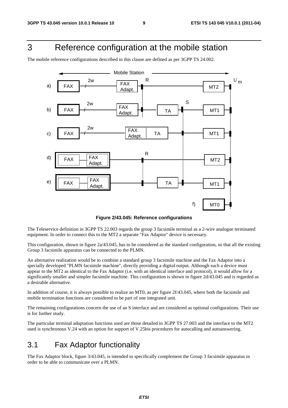# 3 Reference configuration at the mobile station

The mobile reference configurations described in this clause are defined as per 3GPP TS 24.002.



**Figure 2/43.045: Reference configurations** 

The Teleservice definition in 3GPP TS 22.003 regards the group 3 facsimile terminal as a 2-wire analogue terminated equipment. In order to connect this to the MT2 a separate "Fax Adaptor" device is necessary.

This configuration, shown in figure 2a/43.045, has to be considered as the standard configuration, so that all the existing Group 3 facsimile apparatus can be connected to the PLMN.

An alternative realization would be to combine a standard group 3 facsimile machine and the Fax Adaptor into a specially developed "PLMN facsimile machine", directly providing a digital output. Although such a device must appear to the MT2 as identical to the Fax Adaptor (i.e. with an identical interface and protocol), it would allow for a significantly smaller and simpler facsimile machine. This configuration is shown in figure 2d/43.045 and is regarded as a desirable alternative.

In addition of course, it is always possible to realize an MT0, as per figure 2f/43.045, where both the facsimile and mobile termination functions are considered to be part of one integrated unit.

The remaining configurations concern the use of an S interface and are considered as optional configurations. Their use is for further study.

The particular terminal adaptation functions used are those detailed in 3GPP TS 27.003 and the interface to the MT2 used is synchronous V.24 with an option for support of V.25bis procedures for autocalling and autoanswering.

### 3.1 Fax Adaptor functionality

The Fax Adaptor block, figure 3/43.045, is intended to specifically complement the Group 3 facsimile apparatus in order to be able to communicate over a PLMN.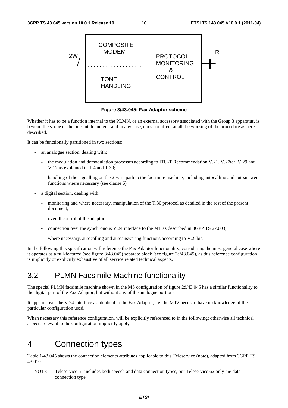

**Figure 3/43.045: Fax Adaptor scheme** 

Whether it has to be a function internal to the PLMN, or an external accessory associated with the Group 3 apparatus, is beyond the scope of the present document, and in any case, does not affect at all the working of the procedure as here described.

It can be functionally partitioned in two sections:

- an analogue section, dealing with:
	- the modulation and demodulation processes according to ITU-T Recommendation V.21, V.27ter, V.29 and V.17 as explained in T.4 and T.30;
	- handling of the signalling on the 2-wire path to the facsimile machine, including autocalling and autoanswer functions where necessary (see clause 6).
- a digital section, dealing with:
	- monitoring and where necessary, manipulation of the T.30 protocol as detailed in the rest of the present document;
	- overall control of the adaptor;
	- connection over the synchronous V.24 interface to the MT as described in 3GPP TS 27.003;
	- where necessary, autocalling and autoanswering functions according to V.25bis.

In the following this specification will reference the Fax Adaptor functionality, considering the most general case where it operates as a full-featured (see figure 3/43.045) separate block (see figure 2a/43.045), as this reference configuration is implicitly or explicitly exhaustive of all service related technical aspects.

### 3.2 PLMN Facsimile Machine functionality

The special PLMN facsimile machine shown in the MS configuration of figure 2d/43.045 has a similar functionality to the digital part of the Fax Adaptor, but without any of the analogue portions.

It appears over the V.24 interface as identical to the Fax Adaptor, i.e. the MT2 needs to have no knowledge of the particular configuration used.

When necessary this reference configuration, will be explicitly referenced to in the following; otherwise all technical aspects relevant to the configuration implicitly apply.

### 4 Connection types

Table 1/43.045 shows the connection elements attributes applicable to this Teleservice (note), adapted from 3GPP TS 43.010.

NOTE: Teleservice 61 includes both speech and data connection types, but Teleservice 62 only the data connection type.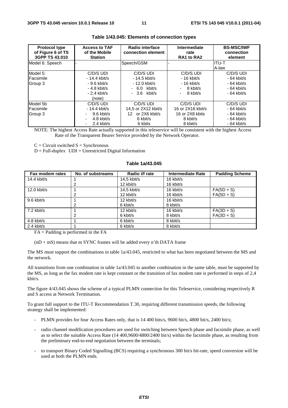| <b>Protocol type</b><br>of Figure 6 of TS<br>3GPP TS 43,010 | <b>Access to TAF</b><br>of the Mobile<br><b>Station</b> | Radio interface<br>connection element | Intermediate<br>rate<br>RA1 to RA2 | <b>BS-MSC/IWF</b><br>connection<br>element |
|-------------------------------------------------------------|---------------------------------------------------------|---------------------------------------|------------------------------------|--------------------------------------------|
| Model 6: Speech                                             |                                                         | Speech/GSM                            |                                    | IITU-T                                     |
|                                                             |                                                         |                                       |                                    | A-law                                      |
| Model 5:                                                    | C/D/S UDI                                               | C/D/S UDI                             | C/D/S UDI                          | C/D/S UDI                                  |
| Facsimile                                                   | - 14.4 kbit/s                                           | - 14.5 kbit/s                         | $-16$ kbit/s                       | $-64$ kbit/s                               |
| Group 3                                                     | $-9.6$ kbit/s                                           | - 12.0 kbit/s                         | $-16$ kbit/s                       | $-64$ kbit/s                               |
|                                                             | $-4.8$ kbit/s                                           | $-6.0$ kbit/s                         | 8 kbit/s                           | $-64$ kbit/s                               |
|                                                             | $-2.4$ kbit/s                                           | $-3.6$ kbit/s                         | 8 kbit/s                           | $-64$ kbit/s                               |
|                                                             | (note)                                                  |                                       |                                    |                                            |
| Model 5b                                                    | C/D/S UDI                                               | C/D/S UDI                             | C/D/S UDI                          | C/D/S UDI                                  |
| Facsimile                                                   | $-14.4$ kbit/s                                          | 14.5 or 2X12 kbit/s                   | 16 or 2X16 kbit/s                  | $-64$ kbit/s                               |
| Group 3                                                     | $9.6$ kbit/s                                            | or 2X6 kbit/s<br>12.                  | 16 or 2X8 kbits                    | $-64$ kbit/s                               |
|                                                             | 4.8 kbit/s                                              | 6 kbit/s                              | 8 kbit/s                           | $-64$ kbit/s                               |
|                                                             | 2.4 kbit/s<br>٠                                         | 6 kbits                               | 8 kbit/s                           | $-64$ kbit/s                               |

#### **Table 1/43.045: Elements of connection types**

NOTE: The highest Access Rate actually supported in this teleservice will be consistent with the highest Access Rate of the Transparent Bearer Service provided by the Network Operator.

 $C =$  Circuit switched  $S =$  Synchronous

 $D = Full-duplex$   $UDI = Unrestricted Digital Information$ 

#### **Table 1a/43.045**

| Fax modem rates         | No. of substreams | Radio i/f rate | <b>Intermediate Rate</b> | <b>Padding Scheme</b> |
|-------------------------|-------------------|----------------|--------------------------|-----------------------|
| 14.4 kbit/s             |                   | $14.5$ kbit/s  | 16 kbit/s                |                       |
|                         |                   | 12 kbit/s      | 16 kbit/s                |                       |
| 12.0 kbit/s             |                   | $14.5$ kbit/s  | 16 kbit/s                | $FA(5D + S)$          |
|                         |                   | 12 kbit/s      | 16 kbit/s                | $FA(5D + S)$          |
| 9.6 kbit/s              |                   | 12 kbit/s      | 16 kbit/s                |                       |
|                         | 2                 | 6 kbit/s       | 8 kbit/s                 |                       |
| $\overline{2.2}$ kbit/s |                   | 12 kbit/s      | 16 kbit/s                | $FA(3D + S)$          |
|                         |                   | 6 kbit/s       | 8 kbit/s                 | $FA(3D + S)$          |
| 4.8 kbit/s              |                   | 6 kbit/s       | 8 kbit/s                 |                       |
| $2.4$ kbit/s            |                   | 6 kbit/s       | 8 kbit/s                 |                       |

 $FA =$  Padding is performed in the  $FA$ 

 $(nD + mS)$  means that m SYNC frames will be added every n'th DATA frame

The MS must support the combinations in table 1a/43.045, restricted to what has been negotiated between the MS and the network.

All transitions from one combination in table 1a/43.045 to another combination in the same table, must be supported by the MS, as long as the fax modem rate is kept constant or the transition of fax modem rate is performed in steps of 2,4 kbit/s.

The figure 4/43.045 shows the scheme of a typical PLMN connection for this Teleservice, considering respectively R and S access at Network Termination.

To grant full support to the ITU-T Recommendation T.30, requiring different transmission speeds, the following strategy shall be implemented:

- PLMN provides for four Access Rates only, that is 14 400 bits/s, 9600 bit/s, 4800 bit/s, 2400 bit/s;
- radio channel modification procedures are used for switching between Speech phase and facsimile phase, as well as to select the suitable Access Rate (14 400,9600/4800/2400 bit/s) within the facsimile phase, as resulting from the preliminary end-to-end negotiation between the terminals;
- to transport Binary Coded Signalling (BCS) requiring a synchronous 300 bit/s bit-rate, speed conversion will be used at both the PLMN ends.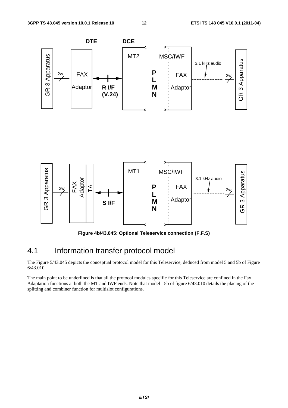

**Figure 4b/43.045: Optional Teleservice connection (F.F.S)** 

### 4.1 Information transfer protocol model

The Figure 5/43.045 depicts the conceptual protocol model for this Teleservice, deduced from model 5 and 5b of Figure 6/43.010.

The main point to be underlined is that all the protocol modules specific for this Teleservice are confined in the Fax Adaptation functions at both the MT and IWF ends. Note that model 5b of figure 6/43.010 details the placing of the splitting and combiner function for multislot configurations.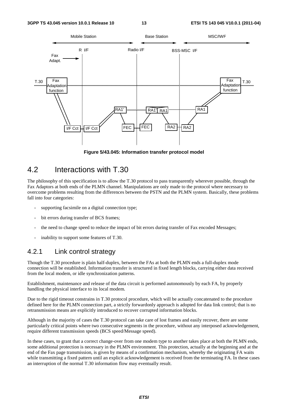

**Figure 5/43.045: Information transfer protocol model** 

### 4.2 Interactions with T.30

The philosophy of this specification is to allow the T.30 protocol to pass transparently wherever possible, through the Fax Adaptors at both ends of the PLMN channel. Manipulations are only made to the protocol where necessary to overcome problems resulting from the differences between the PSTN and the PLMN system. Basically, these problems fall into four categories:

- supporting facsimile on a digital connection type;
- bit errors during transfer of BCS frames:
- the need to change speed to reduce the impact of bit errors during transfer of Fax encoded Messages;
- inability to support some features of T.30.

### 4.2.1 Link control strategy

Though the T.30 procedure is plain half-duplex, between the FAs at both the PLMN ends a full-duplex mode connection will be established. Information transfer is structured in fixed length blocks, carrying either data received from the local modem, or idle synchronization patterns.

Establishment, maintenance and release of the data circuit is performed autonomously by each FA, by properly handling the physical interface to its local modem.

Due to the rigid timeout constrains in T.30 protocol procedure, which will be actually concatenated to the procedure defined here for the PLMN connection part, a strictly forwardonly approach is adopted for data link control; that is no retransmission means are explicitly introduced to recover corrupted information blocks.

Although in the majority of cases the T.30 protocol can take care of lost frames and easily recover, there are some particularly critical points where two consecutive segments in the procedure, without any interposed acknowledgement, require different transmission speeds (BCS speed/Message speed).

In these cases, to grant that a correct change-over from one modem type to another takes place at both the PLMN ends, some additional protection is necessary in the PLMN environment. This protection, actually at the beginning and at the end of the Fax page transmission, is given by means of a confirmation mechanism, whereby the originating FA waits while transmitting a fixed pattern until an explicit acknowledgement is received from the terminating FA. In these cases an interruption of the normal T.30 information flow may eventually result.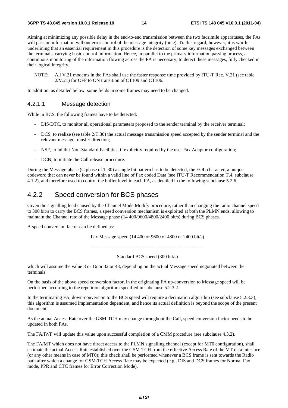Aiming at minimizing any possible delay in the end-to-end transmission between the two facsimile apparatuses, the FAs will pass on information without error control of the message integrity (note). To this regard, however, it is worth underlining that an essential requirement in this procedure is the detection of some key messages exchanged between the terminals, carrying basic control information. Hence, in parallel to the primary information passing process, a continuous monitoring of the information flowing across the FA is necessary, to detect these messages, fully checked in their logical integrity.

NOTE: All V.21 modems in the FAs shall use the faster response time provided by ITU-T Rec. V.21 (see table 2/V.21) for OFF to ON transition of CT109 and CT106.

In addition, as detailed below, some fields in some frames may need to be changed.

#### 4.2.1.1 Message detection

While in BCS, the following frames have to be detected:

- DIS/DTC, to monitor all operational parameters proposed to the sender terminal by the receiver terminal;
- DCS, to realize (see table  $2/T.30$ ) the actual message transmission speed accepted by the sender terminal and the relevant message transfer direction;
- NSF, to inhibit Non-Standard Facilities, if explicitly required by the user Fax Adaptor configuration;
- DCN, to initiate the Call release procedure.

During the Message phase (C phase of T.30) a single bit pattern has to be detected, the EOL character, a unique codeword that can never be found within a valid line of Fax coded Data (see ITU-T Recommendation T.4, subclause 4.1.2), and therefore used to control the buffer level in each FA, as detailed in the following subclause 5.2.6.

### 4.2.2 Speed conversion for BCS phases

Given the signalling load caused by the Channel Mode Modify procedure, rather than changing the radio channel speed to 300 bit/s to carry the BCS frames, a speed conversion mechanism is exploited at both the PLMN ends, allowing to maintain the Channel rate of the Message phase (14 400/9600/4800/2400 bit/s) during BCS phases.

A speed conversion factor can be defined as:

Fax Message speed (14 400 or 9600 or 4800 or 2400 bit/s)

---------------------------------------------------------------------

Standard BCS speed (300 bit/s)

which will assume the value 8 or 16 or 32 or 48, depending on the actual Message speed negotiated between the terminals.

On the basis of the above speed conversion factor, in the originating FA up-conversion to Message speed will be performed according to the repetition algorithm specified in subclause 5.2.3.2.

In the terminating FA, down-conversion to the BCS speed will require a decimation algorithm (see subclause 5.2.3.3); this algorithm is assumed implementation dependent, and hence its actual definition is beyond the scope of the present document.

As the actual Access Rate over the GSM-TCH may change throughout the Call, speed conversion factor needs to be updated in both FAs.

The FA/IWF will update this value upon successful completion of a CMM procedure (see subclause 4.3.2).

The FA/MT which does not have direct access to the PLMN signalling channel (except for MT0 configuration), shall estimate the actual Access Rate established over the GSM-TCH from the effective Access Rate of the MT data interface (or any other means in case of MT0); this check shall be performed whenever a BCS frame is sent towards the Radio path after which a change for GSM-TCH Access Rate may be expected (e.g., DIS and DCS frames for Normal Fax mode, PPR and CTC frames for Error Correction Mode).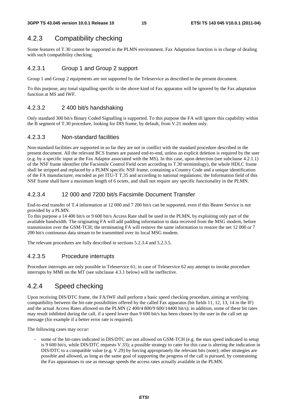### 4.2.3 Compatibility checking

Some features of T.30 cannot be supported in the PLMN environment. Fax Adaptation function is in charge of dealing with such compatibility checking.

#### 4.2.3.1 Group 1 and Group 2 support

Group 1 and Group 2 equipments are not supported by the Teleservice as described in the present document.

To this purpose, any tonal signalling specific to the above kind of Fax apparatus will be ignored by the Fax adaptation function at MS and IWF.

#### 4.2.3.2 2 400 bit/s handshaking

Only standard 300 bit/s Binary Coded Signalling is supported. To this purpose the FA will ignore this capability within the B segment of T.30 procedure, looking for DIS frame, by default, from V.21 modem only.

#### 4.2.3.3 Non-standard facilities

Non-standard facilities are supported in so far they are not in conflict with the standard procedure described in the present document. All the relevant BCS frames are passed end-to-end, unless an explicit deletion is required by the user (e.g. by a specific input at the Fax Adaptor associated with the MS). In this case, upon detection (see subclause 4.2.1.1) of the NSF frame identifier (the Facsimile Control Field octet according to T.30 terminology), the whole HDLC frame shall be stripped and replaced by a PLMN specific NSF frame, containing a Country Code and a unique identification of the FA manufacturer, encoded as per ITU-T T.35 and according to national regulations; the Information field of this NSF frame shall have a maximum length of 6 octets, and shall not require any specific functionality in the PLMN.

#### 4.2.3.4 12 000 and 7200 bit/s Facsimile Document Transfer

End-to-end transfer of T.4 information at 12 000 and 7 200 bit/s can be supported, even if this Bearer Service is not provided by a PLMN.

To this purpose a 14 400 bit/s or 9 600 bit/s Access Rate shall be used in the PLMN, by exploiting only part of the available bandwidth. The originating FA will add padding information to data received from the MSG modem, before transmission over the GSM-TCH; the terminating FA will remove the same information to restore the net 12 000 or 7 200 bit/s continuous data stream to be transmitted over its local MSG modem.

The relevant procedures are fully described in sections 5.2.3.4 and 5.2.3.5.

#### 4.2.3.5 Procedure interrupts

Procedure interrupts are only possible in Teleservice 61; in case of Teleservice 62 any attempt to invoke procedure interrupts by MMI on the MT (see subclause 4.3.1 below) will be ineffective.

### 4.2.4 Speed checking

Upon receiving DIS/DTC frame, the FA/IWF shall perform a basic speed checking procedure, aiming at verifying compatibility between the bit-rate possibilities offered by the called Fax apparatus (bit fields 11, 12, 13, 14 in the IF) and the actual Access Rates allowed on the PLMN (2 400/4 800/9 600/14400 bit/s); in addition, some of these bit rates may result inhibited during the call, if a speed lower than 9 600 bit/s has been chosen by the user in the call set up message (for example if a better error rate is required).

The following cases may occur:

some of the bit-rates indicated in DIS/DTC are not allowed on GSM-TCH (e.g. the max speed indicated in setup is 9 600 bit/s, while DIS/DTC requests V.33); a possible strategy to cater for this case is altering the indication in DIS/DTC to a compatible value (e.g. V.29) by forcing appropriately the relevant bits (note); other strategies are possible and allowed, as long as the same goal of supporting the progress of the call is pursued, by constraining the Fax apparatuses to use as message speeds the access rates actually available in the PLMN.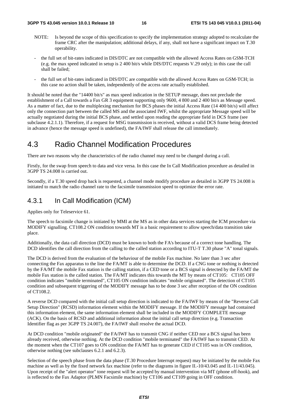- NOTE: Is beyond the scope of this specification to specify the implementation strategy adopted to recalculate the frame CRC after the manipulation; additional delays, if any, shall not have a significant impact on T.30 operability.
- the full set of bit-rates indicated in DIS/DTC are not compatible with the allowed Access Rates on GSM-TCH (e.g. the max speed indicated in setup is 2 400 bit/s while DIS/DTC requests V.29 only); in this case the call shall be failed;
- the full set of bit-rates indicated in DIS/DTC are compatible with the allowed Access Rates on GSM-TCH; in this case no action shall be taken, independently of the access rate actually established.

It should be noted that the "14400 bit/s" as max speed indication in the SETUP message, does not preclude the establishment of a Call towards a Fax GR 3 equipment supporting only 9600, 4 800 and 2 400 bit/s as Message speed. As a matter of fact, due to the multiplexing mechanism for BCS phases the initial Access Rate (14 400 bit/s) will affect only the connection part between the called MS and the associated IWF, whilst the appropriate Message speed will be actually negotiated during the initial BCS phase, and settled upon reading the appropriate field in DCS frame (see subclause 4.2.1.1). Therefore, if a request for MSG transmission is received, without a valid DCS frame being detected in advance (hence the message speed is undefined), the FA/IWF shall release the call immediately.

### 4.3 Radio Channel Modification Procedures

There are two reasons why the characteristics of the radio channel may need to be changed during a call.

Firstly, for the swap from speech to data and vice versa. In this case the In Call Modification procedure as detailed in 3GPP TS 24.008 is carried out.

Secondly, if a T.30 speed drop back is requested, a channel mode modify procedure as detailed in 3GPP TS 24.008 is initiated to match the radio channel rate to the facsimile transmission speed to optimize the error rate.

### 4.3.1 In Call Modification (ICM)

Applies only for Teleservice 61.

The speech to facsimile change is initiated by MMI at the MS as in other data services starting the ICM procedure via MODIFY signalling. CT108.2 ON condition towards MT is a basic requirement to allow speech/data transition take place.

Additionally, the data call direction (DCD) must be known to both the FA's because of a correct tone handling. The DCD identifies the call direction from the calling to the called station according to ITU-T T.30 phase "A" tonal signals.

The DCD is derived from the evaluation of the behaviour of the mobile Fax machine. No later than 3 sec after connecting the Fax apparatus to the line the FA/MT is able to determine the DCD. If a CNG tone or nothing is detected by the FA/MT the mobile Fax station is the calling station, if a CED tone or a BCS signal is detected by the FA/MT the mobile Fax station is the called station. The FA/MT indicates this towards the MT by means of CT105: CT105 OFF condition indicates "mobile terminated", CT105 ON condition indicates "mobile originated". The detection of CT105 condition and subsequent triggering of the MODIFY message has to be done 3 sec after reception of the ON condition of CT108.2.

A reverse DCD compared with the initial call setup direction is indicated to the FA/IWF by means of the "Reverse Call Setup Direction" (RCSD) information element within the MODIFY message. If the MODIFY message had contained this information element, the same information element shall be included in the MODIFY COMPLETE message (ACK). On the basis of RCSD and additional information about the initial call setup direction (e.g. Transaction Identifier flag as per 3GPP TS 24.007), the FA/IWF shall resolve the actual DCD.

At DCD condition "mobile originated" the FA/IWF has to transmit CNG if neither CED nor a BCS signal has been already received, otherwise nothing. At the DCD condition "mobile terminated" the FA/IWF has to transmit CED. At the moment when the CT107 goes to ON condition the FA/MT has to generate CED if CT105 was in ON condition, otherwise nothing (see subclauses 6.2.1 and 6.2.3).

Selection of the speech phase from the data phase (T.30 Procedure Interrupt request) may be initiated by the mobile Fax machine as well as by the fixed network fax machine (refer to the diagrams in figure II.-10/43.045 and II.-11/43.045). Upon receipt of the "alert operator" tone request will be accepted by manual intervention via MT (phone off-hook), and is reflected to the Fax Adaptor (PLMN Facsimile machine) by CT106 and CT109 going in OFF condition.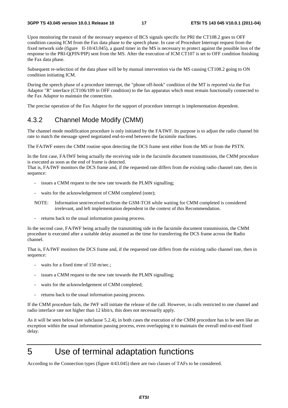Upon monitoring the transit of the necessary sequence of BCS signals specific for PRI the CT108.2 goes to OFF condition causing ICM from the Fax data phase to the speech phase. In case of Procedure Interrupt request from the fixed network side (figure II-10/43.045), a guard timer in the MS is necessary to protect against the possible loss of the response to the PRI-Q(PIN/PIP) sent from the MS. After the execution of ICM CT107 is set to OFF condition finishing the Fax data phase.

Subsequent re-selection of the data phase will be by manual intervention via the MS causing CT108.2 going to ON condition initiating ICM.

During the speech phase of a procedure interrupt, the "phone off-hook" condition of the MT is reported via the Fax Adaptor "R" interface (CT106/109 in OFF condition) to the fax apparatus which must remain functionally connected to the Fax Adaptor to maintain the connection.

The precise operation of the Fax Adaptor for the support of procedure interrupt is implementation dependent.

#### 4.3.2 Channel Mode Modify (CMM)

The channel mode modification procedure is only initiated by the FA/IWF. Its purpose is to adjust the radio channel bit rate to match the message speed negotiated end-to-end between the facsimile machines.

The FA/IWF enters the CMM routine upon detecting the DCS frame sent either from the MS or from the PSTN.

In the first case, FA/IWF being actually the receiving side in the facsimile document transmission, the CMM procedure is executed as soon as the end of frame is detected.

That is, FA/IWF monitors the DCS frame and, if the requested rate differs from the existing radio channel rate, then in sequence:

- issues a CMM request to the new rate towards the PLMN signalling;
- waits for the acknowledgement of CMM completed (note);
- NOTE: Information sent/received to/from the GSM-TCH while waiting for CMM completed is considered irrelevant, and left implementation dependent in the context of this Recommendation.
- returns back to the usual information passing process.

In the second case, FA/IWF being actually the transmitting side in the facsimile document transmission, the CMM procedure is executed after a suitable delay assumed as the time for transferring the DCS frame across the Radio channel.

That is, FA/IWF monitors the DCS frame and, if the requested rate differs from the existing radio channel rate, then in sequence:

- waits for a fixed time of 150 m/sec.;
- issues a CMM request to the new rate towards the PLMN signalling;
- waits for the acknowledgement of CMM completed;
- returns back to the usual information passing process.

If the CMM procedure fails, the IWF will initiate the release of the call. However, in calls restricted to one channel and radio interface rate not higher than 12 kbit/s, this does not necessarily apply.

As it will be seen below (see subclause 5.2.4), in both cases the execution of the CMM procedure has to be seen like an exception within the usual information passing process, even overlapping it to maintain the overall end-to-end fixed delay.

## 5 Use of terminal adaptation functions

According to the Connection types (figure 4/43.045) there are two classes of TAFs to be considered.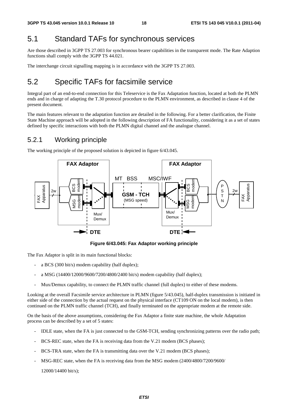### 5.1 Standard TAFs for synchronous services

Are those described in 3GPP TS 27.003 for synchronous bearer capabilities in the transparent mode. The Rate Adaption functions shall comply with the 3GPP TS 44.021.

The interchange circuit signalling mapping is in accordance with the 3GPP TS 27.003.

### 5.2 Specific TAFs for facsimile service

Integral part of an end-to-end connection for this Teleservice is the Fax Adaptation function, located at both the PLMN ends and in charge of adapting the T.30 protocol procedure to the PLMN environment, as described in clause 4 of the present document.

The main features relevant to the adaptation function are detailed in the following. For a better clarification, the Finite State Machine approach will be adopted in the following description of FA functionality, considering it as a set of states defined by specific interactions with both the PLMN digital channel and the analogue channel.

#### 5.2.1 Working principle

The working principle of the proposed solution is depicted in figure 6/43.045.



**Figure 6/43.045: Fax Adaptor working principle** 

The Fax Adaptor is split in its main functional blocks:

- a BCS (300 bit/s) modem capability (half duplex);
- a MSG (14400/12000/9600/7200/4800/2400 bit/s) modem capability (half duplex);
- Mux/Demux capability, to connect the PLMN traffic channel (full duplex) to either of these modems.

Looking at the overall Facsimile service architecture in PLMN (figure 5/43.045), half-duplex transmission is initiated in either side of the connection by the actual request on the physical interface (CT109 ON on the local modem), is then continued on the PLMN traffic channel (TCH), and finally terminated on the appropriate modem at the remote side.

On the basis of the above assumptions, considering the Fax Adaptor a finite state machine, the whole Adaptation process can be described by a set of 5 states:

- IDLE state, when the FA is just connected to the GSM-TCH, sending synchronizing patterns over the radio path;
- BCS-REC state, when the FA is receiving data from the V.21 modem (BCS phases);
- BCS-TRA state, when the FA is transmitting data over the V.21 modem (BCS phases);
- MSG-REC state, when the FA is receiving data from the MSG modem (2400/4800/7200/9600/

12000/14400 bit/s);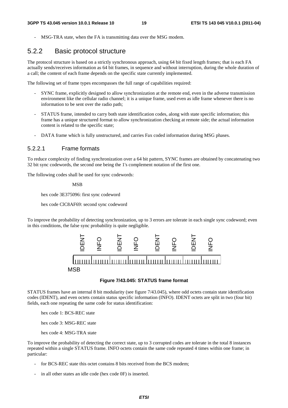MSG-TRA state, when the FA is transmitting data over the MSG modem.

### 5.2.2 Basic protocol structure

The protocol structure is based on a strictly synchronous approach, using 64 bit fixed length frames; that is each FA actually sends/receives information as 64 bit frames, in sequence and without interruption, during the whole duration of a call; the content of each frame depends on the specific state currently implemented.

The following set of frame types encompasses the full range of capabilities required:

- SYNC frame, explicitly designed to allow synchronization at the remote end, even in the adverse transmission environment like the cellular radio channel; it is a unique frame, used even as idle frame whenever there is no information to be sent over the radio path;
- STATUS frame, intended to carry both state identification codes, along with state specific information; this frame has a unique structured format to allow synchronization checking at remote side; the actual information content is related to the specific state;
- DATA frame which is fully unstructured, and carries Fax coded information during MSG phases.

#### 5.2.2.1 Frame formats

To reduce complexity of finding synchronization over a 64 bit pattern, SYNC frames are obtained by concatenating two 32 bit sync codewords, the second one being the 1's complement notation of the first one.

The following codes shall be used for sync codewords:

MSB

hex code 3E375096: first sync codeword

hex code ClC8AF69: second sync codeword

To improve the probability of detecting synchronization, up to 3 errors are tolerate in each single sync codeword; even in this conditions, the false sync probability is quite negligible.



#### **Figure 7/43.045: STATUS frame format**

STATUS frames have an internal 8 bit modularity (see figure 7/43.045), where odd octets contain state identification codes (IDENT), and even octets contain status specific information (INFO). IDENT octets are split in two (four bit) fields, each one repeating the same code for status identification:

hex code 1: BCS-REC state

hex code 3: MSG-REC state

hex code 4: MSG-TRA state

To improve the probability of detecting the correct state, up to 3 corrupted codes are tolerate in the total 8 instances repeated within a single STATUS frame. INFO octets contain the same code repeated 4 times within one frame; in particular:

- for BCS-REC state this octet contains 8 bits received from the BCS modem;
- in all other states an idle code (hex code 0F) is inserted.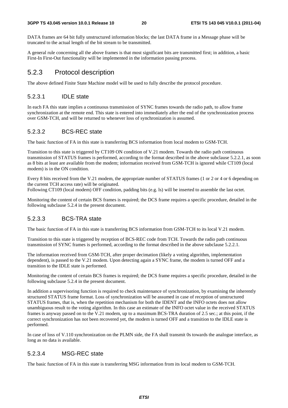DATA frames are 64 bit fully unstructured information blocks; the last DATA frame in a Message phase will be truncated to the actual length of the bit stream to be transmitted.

A general rule concerning all the above frames is that most significant bits are transmitted first; in addition, a basic First-In First-Out functionality will be implemented in the information passing process.

#### 5.2.3 Protocol description

The above defined Finite State Machine model will be used to fully describe the protocol procedure.

#### 5.2.3.1 IDLE state

In each FA this state implies a continuous transmission of SYNC frames towards the radio path, to allow frame synchronization at the remote end. This state is entered into immediately after the end of the synchronization process over GSM-TCH, and will be returned to whenever loss of synchronization is assumed.

#### 5.2.3.2 BCS-REC state

The basic function of FA in this state is transferring BCS information from local modem to GSM-TCH.

Transition to this state is triggered by CT109 ON condition of V.21 modem. Towards the radio path continuous transmission of STATUS frames is performed, according to the format described in the above subclause 5.2.2.1, as soon as 8 bits at least are available from the modem; information received from GSM-TCH is ignored while CT109 (local modem) is in the ON condition.

Every 8 bits received from the V.21 modem, the appropriate number of STATUS frames (1 or 2 or 4 or 6 depending on the current TCH access rate) will be originated.

Following CT109 (local modem) OFF condition, padding bits (e.g. ls) will be inserted to assemble the last octet.

Monitoring the content of certain BCS frames is required; the DCS frame requires a specific procedure, detailed in the following subclause 5.2.4 in the present document.

#### 5.2.3.3 BCS-TRA state

The basic function of FA in this state is transferring BCS information from GSM-TCH to its local V.21 modem.

Transition to this state is triggered by reception of BCS-REC code from TCH. Towards the radio path continuous transmission of SYNC frames is performed, according to the format described in the above subclause 5.2.2.1.

The information received from GSM-TCH, after proper decimation (likely a voting algorithm, implementation dependent), is passed to the V.21 modem. Upon detecting again a SYNC frame, the modem is turned OFF and a transition to the IDLE state is performed.

Monitoring the content of certain BCS frames is required; the DCS frame requires a specific procedure, detailed in the following subclause 5.2.4 in the present document.

In addition a supervisoring function is required to check maintenance of synchronization, by examining the inherently structured STATUS frame format. Loss of synchronization will be assumed in case of reception of unstructured STATUS frames, that is, when the repetition mechanism for both the IDENT and the INFO octets does not allow unambiguous result to the voting algorithm. In this case an estimate of the INFO octet value in the received STATUS frames is anyway passed on to the V.21 modem, up to a maximum BCS-TRA duration of 2.5 sec.; at this point, if the correct synchronization has not been recovered yet, the modem is turned OFF and a transition to the IDLE state is performed.

In case of loss of V.110 synchronization on the PLMN side, the FA shall transmit 0s towards the analogue interface, as long as no data is available.

#### 5.2.3.4 MSG-REC state

The basic function of FA in this state is transferring MSG information from its local modem to GSM-TCH.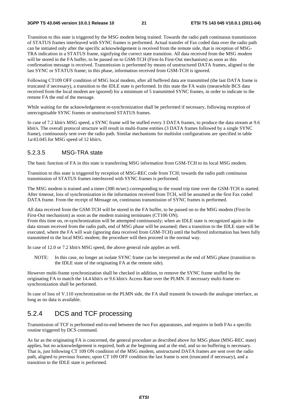Transition to this state is triggered by the MSG modem being trained. Towards the radio path continuous transmission of STATUS frames interleaved with SYNC frames is performed. Actual transfer of Fax coded data over the radio path can be initiated only after the specific acknowledgement is received from the remote side, that is reception of MSG-TRA indication in a STATUS frame, signifying the correct state transition. All data received from the MSG modem will be stored in the FA buffer, to be passed on to GSM-TCH (First-In First-Out mechanism) as soon as this confirmation message is received. Transmission is performed by means of unstructured DATA frames, aligned to the last SYNC or STATUS frame; in this phase, information received from GSM-TCH is ignored.

Following CT109 OFF condition of MSG local modem, after all buffered data are transmitted (the last DATA frame is truncated if necessary), a transition to the IDLE state is performed. In this state the FA waits (meanwhile BCS data received from the local modem are ignored) for a minimum of 5 transmitted SYNC frames, in order to indicate to the remote FA the end of the message.

While waiting for the acknowledgement re-synchronization shall be performed if necessary, following reception of unrecognisable SYNC frames or unstructured STATUS frames.

In case of 7.2 kbit/s MSG speed, a SYNC frame will be stuffed every 3 DATA frames, to produce the data stream at 9.6 kbit/s. The overall protocol structure will result in multi-frame entities (3 DATA frames followed by a single SYNC frame), continuously sent over the radio path. Similar mechanisms for multislot configurations are specified in table 1a/43.045 for MSG speed of 12 kbit/s.

#### 5.2.3.5 MSG-TRA state

The basic function of FA in this state is transferring MSG information from GSM-TCH to its local MSG modem.

Transition to this state is triggered by reception of MSG-REC code from TCH; towards the radio path continuous transmission of STATUS frames interleaved with SYNC frames is performed.

The MSG modem is trained and a timer (300 m/sec) corresponding to the round trip time over the GSM-TCH is started. After timeout, loss of synchronization in the information received from TCH, will be assumed as the first Fax coded DATA frame. From the receipt of Message on, continuous transmission of SYNC frames is performed.

All data received from the GSM-TCH will be stored in the FA buffer, to be passed on to the MSG modem (First-In First-Out mechanism) as soon as the modem training terminates (CT106 ON).

From this time on, re-synchronization will be attempted continuously; when an IDLE state is recognized again in the data stream received from the radio path, end of MSG phase will be assumed; then a transition to the IDLE state will be executed, where the FA will wait (ignoring data received from GSM-TCH) until the buffered information has been fully transmitted to the local MSG modem; the procedure will then proceed in the normal way.

In case of 12.0 or 7.2 kbit/s MSG speed, the above general rule applies as well.

NOTE: In this case, no longer an isolate SYNC frame can be interpreted as the end of MSG phase (transition to the IDLE state of the originating FA at the remote side).

However multi-frame synchronization shall be checked in addition, to remove the SYNC frame stuffed by the originating FA to match the 14.4 kbit/s or 9.6 kbit/s Access Rate over the PLMN. If necessary multi-frame resynchronization shall be performed.

In case of loss of V.110 synchronization on the PLMN side, the FA shall transmit 0s towards the analogue interface, as long as no data is available.

### 5.2.4 DCS and TCF processing

Transmission of TCF is performed end-to-end between the two Fax apparatuses, and requires in both FAs a specific routine triggered by DCS command.

As far as the originating FA is concerned, the general procedure as described above for MSG phase (MSG-REC state) applies, but no acknowledgement is required, both at the beginning and at the end, and so no buffering is necessary. That is, just following CT 109 ON condition of the MSG modem, unstructured DATA frames are sent over the radio path, aligned to previous frames; upon CT 109 OFF condition the last frame is sent (truncated if necessary), and a transition to the IDLE state is performed.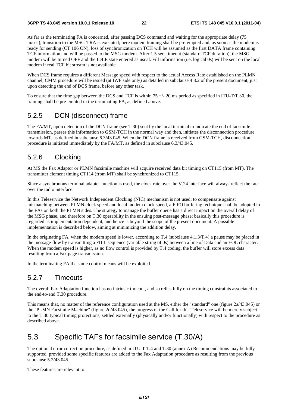As far as the terminating FA is concerned, after passing DCS command and waiting for the appropriate delay (75 m/sec), transition to the MSG-TRA is executed; here modem training shall be pre-empted and, as soon as the modem is ready for sending (CT 106 ON), loss of synchronization on TCH will be assumed as the first DATA frame containing TCF information and will be passed to the MSG modem. After 1.5 sec. timeout (standard TCF duration), the MSG modem will be turned OFF and the IDLE state entered as usual. Fill information (i.e. logical 0s) will be sent on the local modem if real TCF bit stream is not available.

When DCS frame requires a different Message speed with respect to the actual Access Rate established on the PLMN channel, CMM procedure will be issued (at IWF side only) as detailed in subclause 4.3.2 of the present document, just upon detecting the end of DCS frame, before any other task.

To ensure that the time gap between the DCS and TCF is within  $75 +/20$  ms period as specified in ITU-T/T.30, the training shall be pre-empted in the terminating FA, as defined above.

### 5.2.5 DCN (disconnect) frame

The FA/MT, upon detection of the DCN frame (see T.30) sent by the local terminal to indicate the end of facsimile transmission, passes this information to GSM-TCH in the normal way and then, initiates the disconnection procedure towards MT, as defined in subclause 6.3/43.045. When the DCN frame is received from GSM-TCH, disconnection procedure is initiated immediately by the FA/MT, as defined in subclause 6.3/43.045.

### 5.2.6 Clocking

At MS the Fax Adaptor or PLMN facsimile machine will acquire received data bit timing on CT115 (from MT). The transmitter element timing CT114 (from MT) shall be synchronized to CT115.

Since a synchronous terminal adapter function is used, the clock rate over the V.24 interface will always reflect the rate over the radio interface.

In this Teleservice the Network Independent Clocking (NIC) mechanism is not used; to compensate against mismatching between PLMN clock speed and local modem clock speed, a FIFO buffering technique shall be adopted in the FAs on both the PLMN sides. The strategy to manage the buffer queue has a direct impact on the overall delay of the MSG phase, and therefore on T.30 operability in the ensuing post-message phase; basically this procedure is regarded as implementation dependent, and hence is beyond the scope of the present document. A possible implementation is described below, aiming at minimizing the addition delay.

In the originating FA, when the modem speed is lower, according to T.4 (subclause 4.1.3/T.4) a pause may be placed in the message flow by transmitting a FILL sequence (variable string of 0s) between a line of Data and an EOL character. When the modem speed is higher, as no flow control is provided by T.4 coding, the buffer will store excess data resulting from a Fax page transmission.

In the terminating FA the same control means will be exploited.

### 5.2.7 Timeouts

The overall Fax Adaptation function has no intrinsic timeout, and so relies fully on the timing constraints associated to the end-to-end T.30 procedure.

This means that, no matter of the reference configuration used at the MS, either the "standard" one (figure 2a/43.045) or the "PLMN Facsimile Machine" (figure 2d/43.045), the progress of the Call for this Teleservice will be merely subject to the T.30 typical timing protections, settled externally (physically and/or functionally) with respect to the procedure as described above.

### 5.3 Specific TAFs for facsimile service (T.30/A)

The optional error correction procedure, as defined in ITU-T T.4 and T.30 (annex A) Recommendations may be fully supported, provided some specific features are added to the Fax Adaptation procedure as resulting from the previous subclause 5.2/43.045.

These features are relevant to: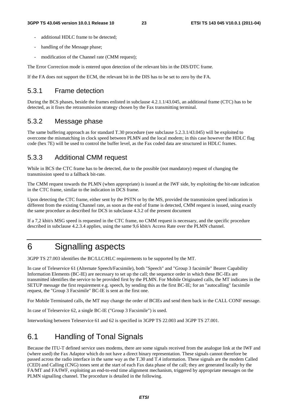- additional HDLC frame to be detected:
- handling of the Message phase;
- modification of the Channel rate (CMM request);

The Error Correction mode is entered upon detection of the relevant bits in the DIS/DTC frame.

If the FA does not support the ECM, the relevant bit in the DIS has to be set to zero by the FA.

#### 5.3.1 Frame detection

During the BCS phases, beside the frames enlisted in subclause 4.2.1.1/43.045, an additional frame (CTC) has to be detected, as it fixes the retransmission strategy chosen by the Fax transmitting terminal.

#### 5.3.2 Message phase

The same buffering approach as for standard T.30 procedure (see subclause 5.2.3.1/43.045) will be exploited to overcome the mismatching in clock speed between PLMN and the local modem; in this case however the HDLC flag code (hex 7E) will be used to control the buffer level, as the Fax coded data are structured in HDLC frames.

### 5.3.3 Additional CMM request

While in BCS the CTC frame has to be detected, due to the possible (not mandatory) request of changing the transmission speed to a fallback bit-rate.

The CMM request towards the PLMN (when appropriate) is issued at the IWF side, by exploiting the bit-rate indication in the CTC frame, similar to the indication in DCS frame.

Upon detecting the CTC frame, either sent by the PSTN or by the MS, provided the transmission speed indication is different from the existing Channel rate, as soon as the end of frame is detected, CMM request is issued, using exactly the same procedure as described for DCS in subclause 4.3.2 of the present document

If a 7,2 kbit/s MSG speed is requested in the CTC frame, no CMM request is necessary, and the specific procedure described in subclause 4.2.3.4 applies, using the same 9,6 kbit/s Access Rate over the PLMN channel.

### 6 Signalling aspects

3GPP TS 27.003 identifies the BC/LLC/HLC requirements to be supported by the MT.

In case of Teleservice 61 (Alternate Speech/Facsimile), both "Speech" and "Group 3 facsimile" Bearer Capability Information Elements (BC-IE) are necessary to set up the call; the sequence order in which these BC-IEs are transmitted identifies the service to be provided first by the PLMN. For Mobile Originated calls, the MT indicates in the SETUP message the first requirement e.g. speech, by sending this as the first BC-IE; for an "autocalling" facsimile request, the "Group 3 Facsimile" BC-IE is sent as the first one.

For Mobile Terminated calls, the MT may change the order of BCIEs and send them back in the CALL CONF message.

In case of Teleservice 62, a single BC-IE ("Group 3 Facsimile") is used.

Interworking between Teleservice 61 and 62 is specified in 3GPP TS 22.003 and 3GPP TS 27.001.

### 6.1 Handling of Tonal Signals

Because the ITU-T defined service uses modems, there are some signals received from the analogue link at the IWF and (where used) the Fax Adaptor which do not have a direct binary representation. These signals cannot therefore be passed across the radio interface in the same way as the T.30 and T.4 information. These signals are the modem Called (CED) and Calling (CNG) tones sent at the start of each Fax data phase of the call; they are generated locally by the FA/MT and FA/IWF, exploiting an end-to-end time alignment mechanism, triggered by appropriate messages on the PLMN signalling channel. The procedure is detailed in the following.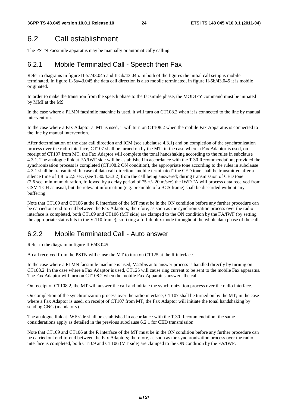### 6.2 Call establishment

The PSTN Facsimile apparatus may be manually or automatically calling.

### 6.2.1 Mobile Terminated Call - Speech then Fax

Refer to diagrams in figure II-5a/43.045 and II-5b/43.045. In both of the figures the initial call setup is mobile terminated. In figure II-5a/43.045 the data call direction is also mobile terminated, in figure II-5b/43.045 it is mobile originated.

In order to make the transition from the speech phase to the facsimile phase, the MODIFY command must be initiated by MMI at the MS

In the case where a PLMN facsimile machine is used, it will turn on CT108.2 when it is connected to the line by manual intervention.

In the case where a Fax Adaptor at MT is used, it will turn on CT108.2 when the mobile Fax Apparatus is connected to the line by manual intervention.

After determination of the data call direction and ICM (see subclause 4.3.1) and on completion of the synchronization process over the radio interface, CT107 shall be turned on by the MT; in the case where a Fax Adaptor is used, on receipt of CT107 from MT, the Fax Adaptor will complete the tonal handshaking according to the rules in subclause 4.3.1. The analogue link at FA/IWF side will be established in accordance with the T.30 Recommendation; provided the synchronization process is completed (CT108.2 ON condition), the appropriate tone according to the rules in subclause 4.3.1 shall be transmitted. In case of data call direction "mobile terminated" the CED tone shall be transmitted after a silence time of 1,8 to 2,5 sec. (see T.30/4.3.3.2) from the call being answered; during transmission of CED tone (2,6 sec. minimum duration, followed by a delay period of  $75 +/- 20$  m/sec) the IWF/FA will process data received from GSM-TCH as usual, but the relevant information (e.g. preamble of a BCS frame) shall be discarded without any buffering.

Note that CT109 and CT106 at the R interface of the MT must be in the ON condition before any further procedure can be carried out end-to-end between the Fax Adaptors; therefore, as soon as the synchronization process over the radio interface is completed, both CT109 and CT106 (MT side) are clamped to the ON condition by the FA/IWF (by setting the appropriate status bits in the V.110 frame), so fixing a full-duplex mode throughout the whole data phase of the call.

### 6.2.2 Mobile Terminated Call - Auto answer

Refer to the diagram in figure II-6/43.045.

A call received from the PSTN will cause the MT to turn on CT125 at the R interface.

In the case where a PLMN facsimile machine is used, V.25bis auto answer process is handled directly by turning on CT108.2. In the case where a Fax Adaptor is used, CT125 will cause ring current to be sent to the mobile Fax apparatus. The Fax Adaptor will turn on CT108.2 when the mobile Fax Apparatus answers the call.

On receipt of CT108.2, the MT will answer the call and initiate the synchronization process over the radio interface.

On completion of the synchronization process over the radio interface, CT107 shall be turned on by the MT; in the case where a Fax Adaptor is used, on receipt of CT107 from MT, the Fax Adaptor will initiate the tonal handshaking by sending CNG (mandatory).

The analogue link at IWF side shall be established in accordance with the T.30 Recommendation; the same considerations apply as detailed in the previous subclause 6.2.1 for CED transmission.

Note that CT109 and CT106 at the R interface of the MT must be in the ON condition before any further procedure can be carried out end-to-end between the Fax Adaptors; therefore, as soon as the synchronization process over the radio interface is completed, both CT109 and CT106 (MT side) are clamped to the ON condition by the FA/IWF.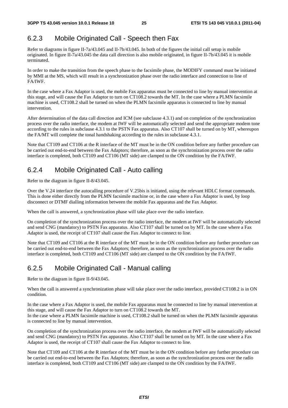### 6.2.3 Mobile Originated Call - Speech then Fax

Refer to diagrams in figure II-7a/43.045 and II-7b/43.045. In both of the figures the initial call setup is mobile originated. In figure II-7a/43.045 the data call direction is also mobile originated, in figure II-7b/43.045 it is mobile terminated.

In order to make the transition from the speech phase to the facsimile phase, the MODIFY command must be initiated by MMI at the MS, which will result in a synchronization phase over the radio interface and connection to line of FA/IWF.

In the case where a Fax Adaptor is used, the mobile Fax apparatus must be connected to line by manual intervention at this stage, and will cause the Fax Adaptor to turn on CT108.2 towards the MT. In the case where a PLMN facsimile machine is used, CT108.2 shall be turned on when the PLMN facsimile apparatus is connected to line by manual intervention.

After determination of the data call direction and ICM (see subclause 4.3.1) and on completion of the synchronization process over the radio interface, the modem at IWF will be automatically selected and send the appropriate modem tone according to the rules in subclause 4.3.1 to the PSTN Fax apparatus. Also CT107 shall be turned on by MT, whereupon the FA/MT will complete the tonal handshaking according to the rules in subclause 4.3.1.

Note that CT109 and CT106 at the R interface of the MT must be in the ON condition before any further procedure can be carried out end-to-end between the Fax Adaptors; therefore, as soon as the synchronization process over the radio interface is completed, both CT109 and CT106 (MT side) are clamped to the ON condition by the FA/IWF.

### 6.2.4 Mobile Originated Call - Auto calling

Refer to the diagram in figure II-8/43.045.

Over the V.24 interface the autocalling procedure of V.25bis is initiated, using the relevant HDLC format commands. This is done either directly from the PLMN facsimile machine or, in the case where a Fax Adaptor is used, by loop disconnect or DTMF dialling information between the mobile Fax apparatus and the Fax Adaptor.

When the call is answered, a synchronization phase will take place over the radio interface.

On completion of the synchronization process over the radio interface, the modem at IWF will be automatically selected and send CNG (mandatory) to PSTN Fax apparatus. Also CT107 shall be turned on by MT. In the case where a Fax Adaptor is used, the receipt of CT107 shall cause the Fax Adaptor to connect to line.

Note that CT109 and CT106 at the R interface of the MT must be in the ON condition before any further procedure can be carried out end-to-end between the Fax Adaptors; therefore, as soon as the synchronization process over the radio interface is completed, both CT109 and CT106 (MT side) are clamped to the ON condition by the FA/IWF.

### 6.2.5 Mobile Originated Call - Manual calling

Refer to the diagram in figure II-9/43.045.

When the call is answered a synchronization phase will take place over the radio interface, provided CT108.2 is in ON condition.

In the case where a Fax Adaptor is used, the mobile Fax apparatus must be connected to line by manual intervention at this stage, and will cause the Fax Adaptor to turn on CT108.2 towards the MT.

In the case where a PLMN facsimile machine is used, CT108.2 shall be turned on when the PLMN facsimile apparatus is connected to line by manual intervention.

On completion of the synchronization process over the radio interface, the modem at IWF will be automatically selected and send CNG (mandatory) to PSTN Fax apparatus. Also CT107 shall be turned on by MT. In the case where a Fax Adaptor is used, the receipt of CT107 shall cause the Fax Adaptor to connect to line.

Note that CT109 and CT106 at the R interface of the MT must be in the ON condition before any further procedure can be carried out end-to-end between the Fax Adaptors; therefore, as soon as the synchronization process over the radio interface is completed, both CT109 and CT106 (MT side) are clamped to the ON condition by the FA/IWF.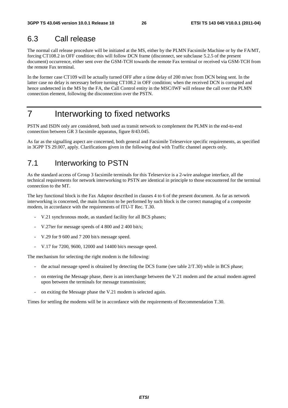### 6.3 Call release

The normal call release procedure will be initiated at the MS, either by the PLMN Facsimile Machine or by the FA/MT, forcing CT108.2 in OFF condition; this will follow DCN frame (disconnect, see subclause 5.2.5 of the present document) occurrence, either sent over the GSM-TCH towards the remote Fax terminal or received via GSM-TCH from the remote Fax terminal.

In the former case CT109 will be actually turned OFF after a time delay of 200 m/sec from DCN being sent. In the latter case no delay is necessary before turning CT108.2 in OFF condition; when the received DCN is corrupted and hence undetected in the MS by the FA, the Call Control entity in the MSC/IWF will release the call over the PLMN connection element, following the disconnection over the PSTN.

# 7 Interworking to fixed networks

PSTN and ISDN only are considered, both used as transit network to complement the PLMN in the end-to-end connection between GR 3 facsimile apparatus, figure 8/43.045.

As far as the signalling aspect are concerned, both general and Facsimile Teleservice specific requirements, as specified in 3GPP TS 29.007, apply. Clarifications given in the following deal with Traffic channel aspects only.

### 7.1 Interworking to PSTN

As the standard access of Group 3 facsimile terminals for this Teleservice is a 2-wire analogue interface, all the technical requirements for network interworking to PSTN are identical in principle to those encountered for the terminal connection to the MT.

The key functional block is the Fax Adaptor described in clauses 4 to 6 of the present document. As far as network interworking is concerned, the main function to be performed by such block is the correct managing of a composite modem, in accordance with the requirements of ITU-T Rec. T.30.

- V.21 synchronous mode, as standard facility for all BCS phases;
- V.27ter for message speeds of 4 800 and 2 400 bit/s;
- V.29 for 9 600 and 7 200 bit/s message speed.
- V.17 for 7200, 9600, 12000 and 14400 bit/s message speed.

The mechanism for selecting the right modem is the following:

- the actual message speed is obtained by detecting the DCS frame (see table  $2/T.30$ ) while in BCS phase;
- on entering the Message phase, there is an interchange between the V.21 modem and the actual modem agreed upon between the terminals for message transmission;
- on exiting the Message phase the V.21 modem is selected again.

Times for settling the modems will be in accordance with the requirements of Recommendation T.30.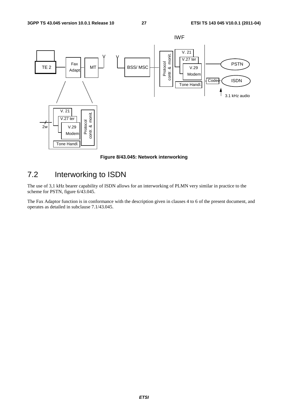

**Figure 8/43.045: Network interworking** 

### 7.2 Interworking to ISDN

The use of 3,1 kHz bearer capability of ISDN allows for an interworking of PLMN very similar in practice to the scheme for PSTN, figure 6/43.045.

The Fax Adaptor function is in conformance with the description given in clauses 4 to 6 of the present document, and operates as detailed in subclause 7.1/43.045.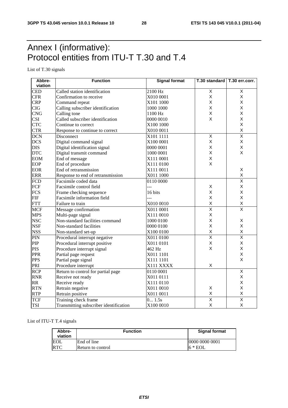# Annex I (informative): Protocol entities from ITU-T T.30 and T.4

List of T.30 signals

| Abbre-     | <b>Function</b>                        | <b>Signal format</b> | T.30 standard   T.30 err.corr. |                         |
|------------|----------------------------------------|----------------------|--------------------------------|-------------------------|
| viation    |                                        |                      |                                |                         |
| <b>CED</b> | Called station identification          | 2100 Hz              | $\overline{X}$                 | X                       |
| <b>CFR</b> | Confirmation to receive                | X010 0001            | X                              | X                       |
| <b>CRP</b> | Command repeat                         | X101 1000            | X                              | X                       |
| <b>CIG</b> | Calling subscriber identification      | 1000 1000            | X                              | X                       |
| <b>CNG</b> | Calling tone                           | 1100 Hz              | X                              | X                       |
| <b>CSI</b> | Called subscriber identification       | 0000 0010            | X                              | Χ                       |
| <b>CTC</b> | Continue to correct                    | X100 1000            |                                | X                       |
| <b>CTR</b> | Response to continue to correct        | X010 0011            |                                | X                       |
| <b>DCN</b> | Disconnect                             | X101 1111            | X                              | $\overline{\mathsf{x}}$ |
| <b>DCS</b> | Digital command signal                 | X100 0001            | X                              | Χ                       |
| <b>DIS</b> | Digital identification signal          | 0000 0001            | X                              | X                       |
| <b>DTC</b> | Digital transmit command               | 1000 0001            | X                              | X                       |
| <b>EOM</b> | End of message                         | X111 0001            | X                              |                         |
| <b>EOP</b> | End of procedure                       | X111 0100            | X                              |                         |
| <b>EOR</b> | End of retransmission                  | X111 0011            |                                | X                       |
| <b>ERR</b> | Response to end of retransmission      | X011 1000            |                                | X                       |
| <b>FCD</b> | Facsimile coded data                   | 0110 0000            |                                | $\overline{\mathsf{x}}$ |
| FCF        | Facsimile control field                | ---                  | X                              | X                       |
| <b>FCS</b> | Frame checking sequence                | 16 bits              | X                              | X                       |
| <b>FIF</b> | Facsimile information field            | ---                  | X                              | X                       |
| <b>FTT</b> | Failure to train                       | X010 0010            | X                              | X                       |
| <b>MCF</b> | Message confirmation                   | X011 0001            | $\overline{\mathsf{x}}$        | $\overline{\mathsf{x}}$ |
| <b>MPS</b> | Multi-page signal                      | X111 0010            | $\mathsf X$                    |                         |
| <b>NSC</b> | Non-standard facilities command        | 1000 0100            | X                              | Χ                       |
| <b>NSF</b> | Non-standard facilities                | 0000 0100            | X                              | X                       |
| <b>NSS</b> | Non-standard set-up                    | X100 0100            | X                              | X                       |
| PIN        | Procedural interrupt negative          | X011 0100            | $\overline{\mathsf{x}}$        | $\overline{\mathsf{x}}$ |
| PIP        | Procedural interrupt positive          | X011 0101            | X                              | X                       |
| <b>PIS</b> | Procedure interrupt signal             | 462 Hz               | X                              | Χ                       |
| <b>PPR</b> | Partial page request                   | X011 1101            |                                | X                       |
| <b>PPS</b> | Partial page signal                    | X111 1101            |                                | X                       |
| PRI        | Procedure interrupt                    | X111 XXXX            | X                              |                         |
| <b>RCP</b> | Return to control for partial page     | 0110 0001            |                                | $\overline{\mathsf{x}}$ |
| <b>RNR</b> | Receive not ready                      | X011 0111            |                                | Χ                       |
| <b>RR</b>  | Receive ready                          | X111 0110            |                                | X                       |
| <b>RTN</b> | Retrain negative                       | X011 0010            | X                              | X                       |
| <b>RTP</b> | Retrain positive                       | X011 0011            | $\mathsf X$                    | $\pmb{\mathsf{X}}$      |
| <b>TCF</b> | Training check frame                   | 0 1.5s               | $\overline{\mathsf{x}}$        | $\overline{\mathsf{x}}$ |
| <b>TSI</b> | Transmitting subscriber identification | X100 0010            | X                              | X                       |

#### List of ITU-T T.4 signals

| Abbre-<br>viation | <b>Function</b>   | <b>Signal format</b> |  |  |
|-------------------|-------------------|----------------------|--|--|
| <b>EOL</b>        | End of line       | 0000 0000 0001       |  |  |
| <b>RTC</b>        | Return to control | $6 * EOL$            |  |  |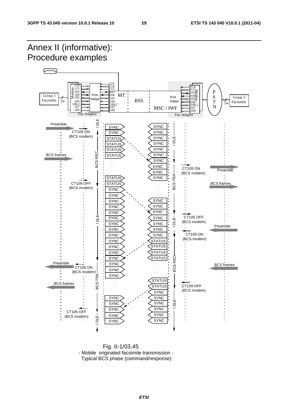

 Fig. II-1/03.45 - Mobile originated facsimile transmission - Typical BCS phase (command/response)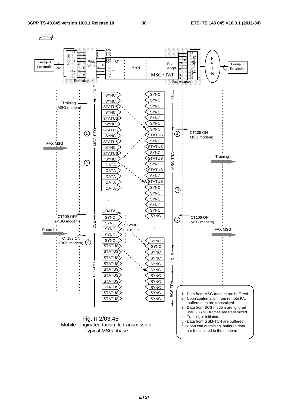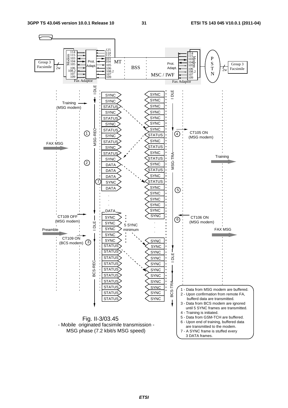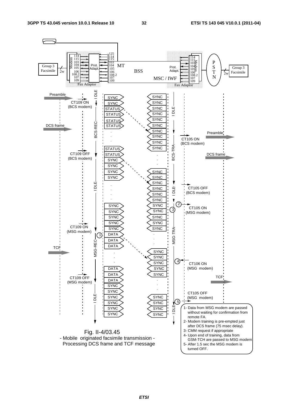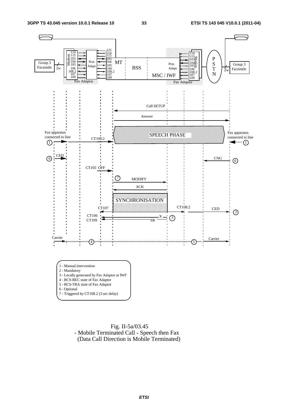

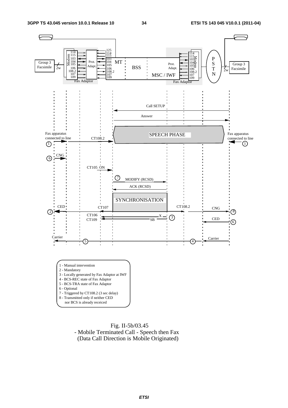

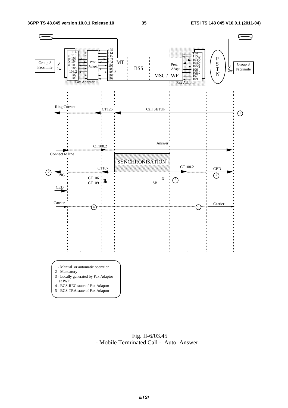

 Fig. II-6/03.45 - Mobile Terminated Call - Auto Answer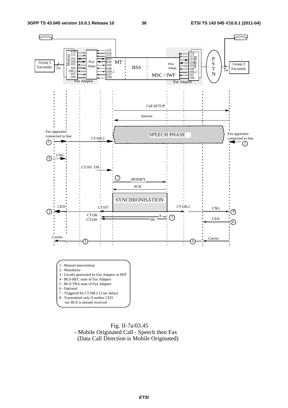

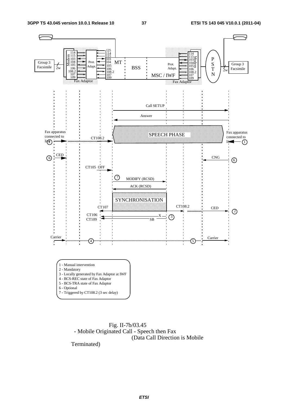

 Fig. II-7b/03.45 - Mobile Originated Call - Speech then Fax (Data Call Direction is Mobile

Terminated)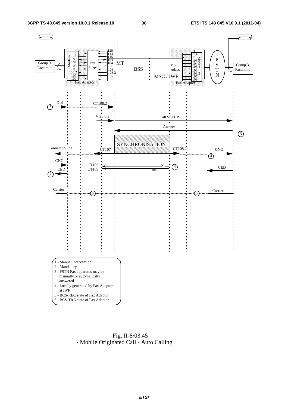

 Fig. II-8/03.45 - Mobile Originated Call - Auto Calling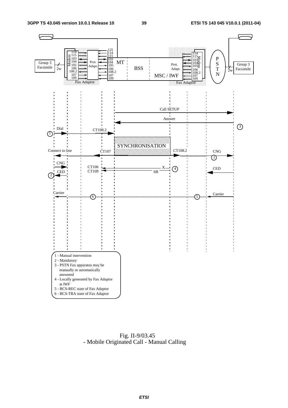

 Fig. II-9/03.45 - Mobile Originated Call - Manual Calling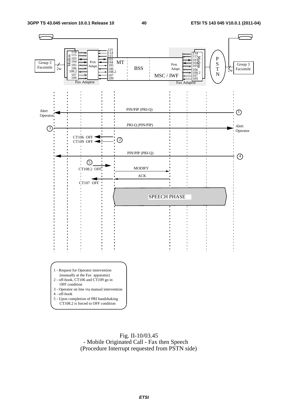

 Fig. II-10/03.45 - Mobile Originated Call - Fax then Speech (Procedure Interrupt requested from PSTN side)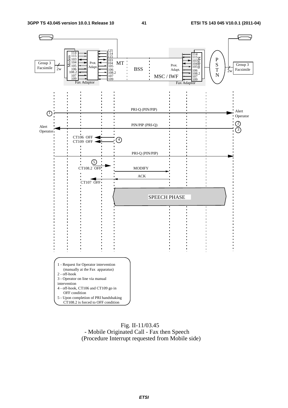

#### Fig. II-11/03.45 - Mobile Originated Call - Fax then Speech (Procedure Interrupt requested from Mobile side)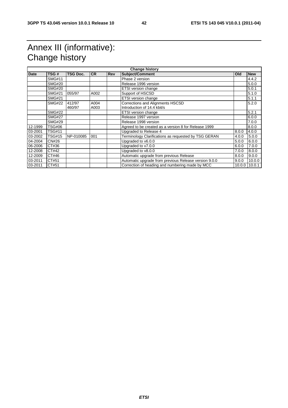# Annex III (informative): Change history

| Date    | TSG#          | <b>TSG Doc.</b>  | <b>CR</b>    | <b>Rev</b> | <b>Subject/Comment</b>                                          | <b>Old</b> | <b>New</b>    |
|---------|---------------|------------------|--------------|------------|-----------------------------------------------------------------|------------|---------------|
|         | <b>SMG#11</b> |                  |              |            | Phase 2 version                                                 |            | 4.4.2         |
|         | <b>SMG#20</b> |                  |              |            | Release 1996 version                                            |            | 5.0.0         |
|         | <b>SMG#20</b> |                  |              |            | <b>ETSI</b> version change                                      |            | 5.0.1         |
|         | <b>SMG#21</b> | 055/97           | A002         |            | Support of HSCSD                                                |            | 5.1.0         |
|         | <b>SMG#21</b> |                  |              |            | ETSI version change                                             |            | 5.1.1         |
|         | <b>SMG#22</b> | 412/97<br>460/97 | A004<br>A003 |            | Corrections and Alignments HSCSD<br>Introduction of 14.4 kbit/s |            | 5.2.0         |
|         | <b>SMG#22</b> |                  |              |            | <b>ETSI</b> version change                                      |            | 5.2.1         |
|         | <b>SMG#27</b> |                  |              |            | Release 1997 version                                            |            | 6.0.0         |
|         | <b>SMG#29</b> |                  |              |            | Release 1998 version                                            |            | 7.0.0         |
| 12-1999 | <b>TSG#06</b> |                  |              |            | Agreed to be created as a version 8 for Release 1999            |            | 8.0.0         |
| 03-2001 | <b>TSG#11</b> |                  |              |            | Upgraded to Release 4                                           | 8.0.0      | 4.0.0         |
| 03-2002 | <b>TSG#15</b> | NP-010085        | 001          |            | Terminology Clarifications as requested by TSG GERAN            | 4.0.0      | 5.0.0         |
| 04-2004 | CN#26         |                  |              |            | Upgraded to v6.0.0                                              | 5.0.0      | 6.0.0         |
| 06-2006 | CT#36         |                  |              |            | Upgraded to v7.0.0                                              | 6.0.0      | 7.0.0         |
| 12-2008 | CT#42         |                  |              |            | Upgraded to v8.0.0                                              | 7.0.0      | 8.0.0         |
| 12-2009 | CT#46         |                  |              |            | Automatic upgrade from previous Release                         | 8.0.0      | 9.0.0         |
| 03-2011 | CT#51         |                  |              |            | Automatic upgrade from previous Release version 9.0.0           | 9.0.0      | 10.0.0        |
| 03-2011 | CT#51         |                  |              |            | Correction of heading and numbering made by MCC                 |            | 10.0.0 10.0.1 |